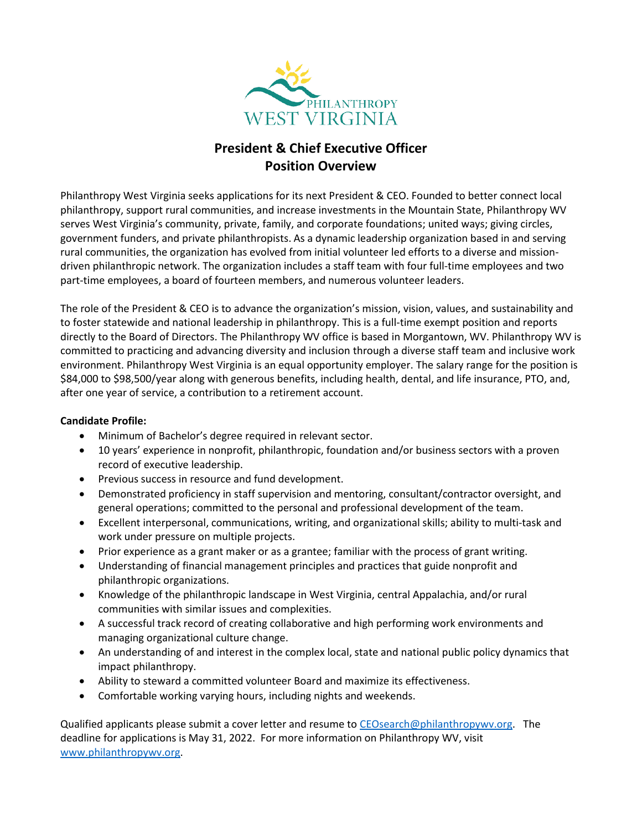

## **President & Chief Executive Officer Position Overview**

Philanthropy West Virginia seeks applications for its next President & CEO. Founded to better connect local philanthropy, support rural communities, and increase investments in the Mountain State, Philanthropy WV serves West Virginia's community, private, family, and corporate foundations; united ways; giving circles, government funders, and private philanthropists. As a dynamic leadership organization based in and serving rural communities, the organization has evolved from initial volunteer led efforts to a diverse and missiondriven philanthropic network. The organization includes a staff team with four full-time employees and two part-time employees, a board of fourteen members, and numerous volunteer leaders.

The role of the President & CEO is to advance the organization's mission, vision, values, and sustainability and to foster statewide and national leadership in philanthropy. This is a full-time exempt position and reports directly to the Board of Directors. The Philanthropy WV office is based in Morgantown, WV. Philanthropy WV is committed to practicing and advancing diversity and inclusion through a diverse staff team and inclusive work environment. Philanthropy West Virginia is an equal opportunity employer. The salary range for the position is \$84,000 to \$98,500/year along with generous benefits, including health, dental, and life insurance, PTO, and, after one year of service, a contribution to a retirement account.

#### **Candidate Profile:**

- Minimum of Bachelor's degree required in relevant sector.
- 10 years' experience in nonprofit, philanthropic, foundation and/or business sectors with a proven record of executive leadership.
- Previous success in resource and fund development.
- Demonstrated proficiency in staff supervision and mentoring, consultant/contractor oversight, and general operations; committed to the personal and professional development of the team.
- Excellent interpersonal, communications, writing, and organizational skills; ability to multi-task and work under pressure on multiple projects.
- Prior experience as a grant maker or as a grantee; familiar with the process of grant writing.
- Understanding of financial management principles and practices that guide nonprofit and philanthropic organizations.
- Knowledge of the philanthropic landscape in West Virginia, central Appalachia, and/or rural communities with similar issues and complexities.
- A successful track record of creating collaborative and high performing work environments and managing organizational culture change.
- An understanding of and interest in the complex local, state and national public policy dynamics that impact philanthropy.
- Ability to steward a committed volunteer Board and maximize its effectiveness.
- Comfortable working varying hours, including nights and weekends.

Qualified applicants please submit a cover letter and resume to [CEOsearch@philanthropywv.org.](mailto:CEOsearch@philanthropywv.org) The deadline for applications is May 31, 2022. For more information on Philanthropy WV, visit [www.philanthropywv.org.](http://www.philanthropywv.org/)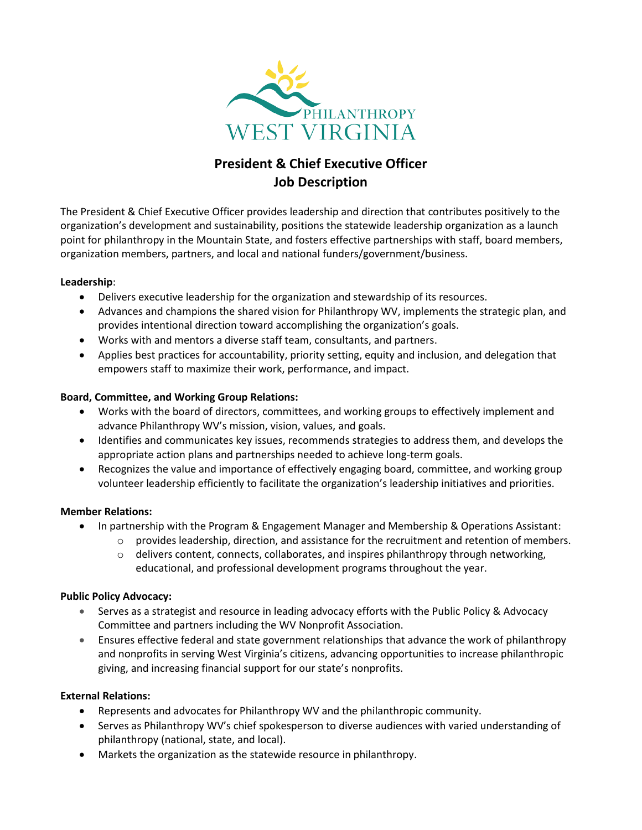

# **President & Chief Executive Officer Job Description**

The President & Chief Executive Officer provides leadership and direction that contributes positively to the organization's development and sustainability, positions the statewide leadership organization as a launch point for philanthropy in the Mountain State, and fosters effective partnerships with staff, board members, organization members, partners, and local and national funders/government/business.

#### **Leadership**:

- Delivers executive leadership for the organization and stewardship of its resources.
- Advances and champions the shared vision for Philanthropy WV, implements the strategic plan, and provides intentional direction toward accomplishing the organization's goals.
- Works with and mentors a diverse staff team, consultants, and partners.
- Applies best practices for accountability, priority setting, equity and inclusion, and delegation that empowers staff to maximize their work, performance, and impact.

#### **Board, Committee, and Working Group Relations:**

- Works with the board of directors, committees, and working groups to effectively implement and advance Philanthropy WV's mission, vision, values, and goals.
- Identifies and communicates key issues, recommends strategies to address them, and develops the appropriate action plans and partnerships needed to achieve long-term goals.
- Recognizes the value and importance of effectively engaging board, committee, and working group volunteer leadership efficiently to facilitate the organization's leadership initiatives and priorities.

#### **Member Relations:**

- In partnership with the Program & Engagement Manager and Membership & Operations Assistant:
	- $\circ$  provides leadership, direction, and assistance for the recruitment and retention of members.
	- $\circ$  delivers content, connects, collaborates, and inspires philanthropy through networking, educational, and professional development programs throughout the year.

## **Public Policy Advocacy:**

- Serves as a strategist and resource in leading advocacy efforts with the Public Policy & Advocacy Committee and partners including the WV Nonprofit Association.
- Ensures effective federal and state government relationships that advance the work of philanthropy and nonprofits in serving West Virginia's citizens, advancing opportunities to increase philanthropic giving, and increasing financial support for our state's nonprofits.

## **External Relations:**

- Represents and advocates for Philanthropy WV and the philanthropic community.
- Serves as Philanthropy WV's chief spokesperson to diverse audiences with varied understanding of philanthropy (national, state, and local).
- Markets the organization as the statewide resource in philanthropy.